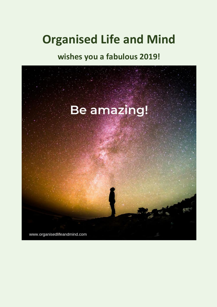# **Organised Life and Mind**

# **wishes you a fabulous 2019!**

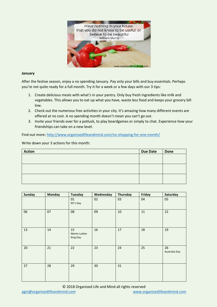

#### **January**

After the festive season, enjoy a no spending January. Pay only your bills and buy essentials. Perhaps you're not quite ready for a full month. Try it for a week or a few days with our 3 tips:

- 1. Create delicious meals with what's in your pantry. Only buy fresh ingredients like milk and vegetables. This allows you to eat up what you have, waste less food and keeps your grocery bill low.
- 2. Check out the numerous free activities in your city. It's amazing how many different events are offered at no cost. A no spending month doesn't mean you can't go out.
- 3. Invite your friends over for a potluck, to play boardgames or simply to chat. Experience how your friendships can take on a new level.

Find out more:<http://www.organisedlifeandmind.com/no-shopping-for-one-month/>

| <b>Action</b> | <b>Due Date</b> | <b>Done</b> |
|---------------|-----------------|-------------|
|               |                 |             |
|               |                 |             |
|               |                 |             |
|               |                 |             |
|               |                 |             |
|               |                 |             |

| Sunday | <b>Monday</b> | <b>Tuesday</b>                  | Wednesday | Thursday | Friday | Saturday            |
|--------|---------------|---------------------------------|-----------|----------|--------|---------------------|
|        |               | 01<br>NY's Day                  | 02        | 03       | 04     | 05                  |
| 06     | 07            | 08                              | 09        | 10       | 11     | 12                  |
| 13     | 14            | 15<br>Martin Luther<br>King Day | 16        | 17       | 18     | 19                  |
| 20     | 21            | 22                              | 23        | 24       | 25     | 26<br>Australia Day |
| 27     | 28            | 29                              | 30        | 31       |        |                     |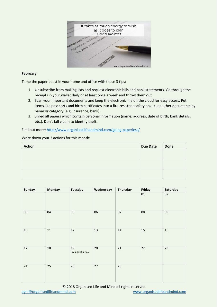

# **February**

Tame the paper beast in your home and office with these 3 tips:

- 1. Unsubscribe from mailing lists and request electronic bills and bank statements. Go through the receipts in your wallet daily or at least once a week and throw them out.
- 2. Scan your important documents and keep the electronic file on the cloud for easy access. Put items like passports and birth certificates into a fire-resistant safety box. Keep other documents by name or category (e.g. insurance, bank).
- 3. Shred all papers which contain personal information (name, address, date of birth, bank details, etc.). Don't fall victim to identify theft.

Find out more:<http://www.organisedlifeandmind.com/going-paperless/>

| <b>Action</b> | <b>Due Date</b> | <b>Done</b> |
|---------------|-----------------|-------------|
|               |                 |             |
|               |                 |             |
|               |                 |             |
|               |                 |             |
|               |                 |             |
|               |                 |             |

| Sunday | <b>Monday</b> | <b>Tuesday</b>        | Wednesday | Thursday | Friday | Saturday |
|--------|---------------|-----------------------|-----------|----------|--------|----------|
|        |               |                       |           |          | $01\,$ | 02       |
| 03     | 04            | 05                    | 06        | 07       | 08     | 09       |
| 10     | 11            | 12                    | 13        | 14       | 15     | 16       |
| 17     | 18            | 19<br>President's Day | 20        | 21       | 22     | 23       |
| 24     | 25            | 26                    | 27        | 28       |        |          |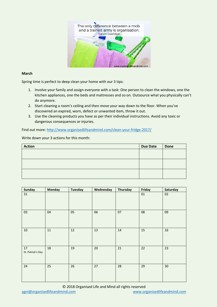

# **March**

Spring time is perfect to deep clean your home with our 3 tips:

- 1. Involve your family and assign everyone with a task: One person to clean the windows, one the kitchen appliances, one the beds and mattresses and so on. Outsource what you physically can't do anymore.
- 2. Start cleaning a room's ceiling and then move your way down to the floor. When you've discovered an expired, worn, defect or unwanted item, throw it out.
- 3. Use the cleaning products you have as per their individual instructions. Avoid any toxic or dangerous consequences or injuries.

Find out more: <http://www.organisedlifeandmind.com/clean-your-fridge-2017/>

| <b>Action</b> | <b>Due Date</b> | <b>Done</b> |
|---------------|-----------------|-------------|
|               |                 |             |
|               |                 |             |
|               |                 |             |
|               |                 |             |
|               |                 |             |
|               |                 |             |

| <b>Sunday</b>           | <b>Monday</b> | <b>Tuesday</b> | Wednesday | Thursday | Friday | Saturday |
|-------------------------|---------------|----------------|-----------|----------|--------|----------|
| 31                      |               |                |           |          | $01\,$ | 02       |
| 03                      | 04            | 05             | 06        | 07       | 08     | 09       |
| 10                      | 11            | 12             | 13        | 14       | 15     | 16       |
| 17<br>St. Patrick's Day | 18            | 19             | 20        | 21       | 22     | 23       |
| 24                      | 25            | 26             | 27        | 28       | 29     | 30       |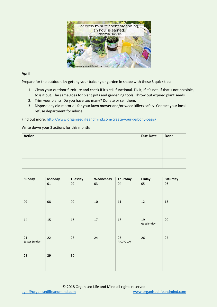

# **April**

Prepare for the outdoors by getting your balcony or garden in shape with these 3 quick tips:

- 1. Clean your outdoor furniture and check if it's still functional. Fix it, if it's not. If that's not possible, toss it out. The same goes for plant pots and gardening tools. Throw out expired plant seeds.
- 2. Trim your plants. Do you have too many? Donate or sell them.
- 3. Dispose any old motor oil for your lawn mower and/or weed killers safely. Contact your local refuse department for advice.

Find out more: <http://www.organisedlifeandmind.com/create-your-balcony-oasis/>

| <b>Action</b> | <b>Due Date</b> | <b>Done</b> |
|---------------|-----------------|-------------|
|               |                 |             |
|               |                 |             |
|               |                 |             |
|               |                 |             |
|               |                 |             |
|               |                 |             |

| <b>Sunday</b>              | <b>Monday</b> | <b>Tuesday</b> | Wednesday | Thursday        | Friday            | Saturday |
|----------------------------|---------------|----------------|-----------|-----------------|-------------------|----------|
|                            | 01            | 02             | 03        | 04              | 05                | 06       |
| 07                         | 08            | 09             | $10\,$    | $11\,$          | 12                | 13       |
| 14                         | 15            | 16             | $17\,$    | 18              | 19<br>Good Friday | 20       |
| 21<br><b>Easter Sunday</b> | 22            | 23             | 24        | 25<br>ANZAC DAY | 26                | 27       |
| 28                         | 29            | 30             |           |                 |                   |          |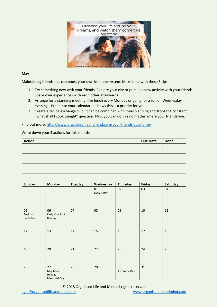

## **May**

Maintaining friendships can boost your own immune system. Make time with these 3 tips:

- 1. Try something new with your friends. Explore your city or pursue a new activity with your friends. Share your experiences with each other afterwards.
- 2. Arrange for a standing meeting, like lunch every Monday or going for a run on Wednesday evenings. Put it into your calendar. It shows this is a priority for you.
- 3. Create a recipe exchange club. It can be combined with meal planning and stops the constant "what shall I cook tonight" question. Plus, you can do this no matter where your friends live.

Find out more:<http://www.organisedlifeandmind.com/your-friends-your-time/>

| <b>Action</b> | Due Date | <b>Done</b> |
|---------------|----------|-------------|
|               |          |             |
|               |          |             |
|               |          |             |
|               |          |             |
|               |          |             |
|               |          |             |

| <b>Sunday</b>             | <b>Monday</b>                             | <b>Tuesday</b> | Wednesday        | Thursday                   | Friday | Saturday |
|---------------------------|-------------------------------------------|----------------|------------------|----------------------------|--------|----------|
|                           |                                           |                | 01<br>Labour Day | 02                         | 03     | 04       |
| 05<br>Begin of<br>Ramadan | 06<br>Early May Bank<br>Holiday           | 07             | 08               | 09                         | 10     | $11\,$   |
| 12                        | 13                                        | 14             | 15               | 16                         | 17     | 18       |
| 19                        | 20                                        | 21             | 22               | 23                         | 24     | 25       |
| 26                        | 27<br>May Bank<br>Holiday<br>Memorial Day | 28             | 29               | 30<br><b>Ascension Day</b> | 31     |          |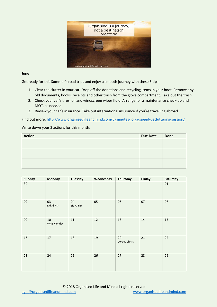

#### **June**

Get ready for this Summer's road trips and enjoy a smooth journey with these 3 tips:

- 1. Clear the clutter in your car. Drop off the donations and recycling items in your boot. Remove any old documents, books, receipts and other trash from the glove compartment. Take out the trash.
- 2. Check your car's tires, oil and windscreen wiper fluid. Arrange for a maintenance check-up and MOT, as needed.
- 3. Review your car's insurance. Take out international insurance if you're travelling abroad.

Find out more:<http://www.organisedlifeandmind.com/5-minutes-for-a-speed-decluttering-session/>

| <b>Action</b> | <b>Due Date</b> | <b>Done</b> |
|---------------|-----------------|-------------|
|               |                 |             |
|               |                 |             |
|               |                 |             |
|               |                 |             |
|               |                 |             |
|               |                 |             |

| <b>Sunday</b> | <b>Monday</b>         | <b>Tuesday</b>    | Wednesday | <b>Thursday</b>      | Friday | Saturday |
|---------------|-----------------------|-------------------|-----------|----------------------|--------|----------|
| $30\,$        |                       |                   |           |                      |        | $01\,$   |
| 02            | 03<br>Eid Al Fitr     | 04<br>Eid Al Fitr | 05        | 06                   | 07     | 08       |
| 09            | $10\,$<br>Whit Monday | 11                | 12        | 13                   | 14     | 15       |
| 16            | 17                    | 18                | 19        | 20<br>Corpus Christi | 21     | 22       |
| 23            | 24                    | 25                | 26        | 27                   | 28     | 29       |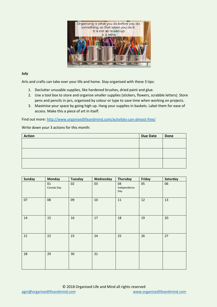

# **July**

Arts and crafts can take over your life and home. Stay organised with these 3 tips:

- 1. Declutter unusable supplies, like hardened brushes, dried paint and glue.
- 2. Use a tool box to store and organise smaller supplies (stickers, flowers, scrabble letters). Store pens and pencils in jars, organised by colour or type to save time when working on projects.
- 3. Maximise your space by going high up. Hang your supplies in baskets. Label them for ease of access. Make this a piece of art in itself.

Find out more:<http://www.organisedlifeandmind.com/activities-can-almost-free/>

| <b>Action</b> | <b>Due Date</b> | <b>Done</b> |
|---------------|-----------------|-------------|
|               |                 |             |
|               |                 |             |
|               |                 |             |
|               |                 |             |
|               |                 |             |
|               |                 |             |

| <b>Sunday</b> | <b>Monday</b>    | <b>Tuesday</b> | Wednesday | Thursday                  | Friday | Saturday |
|---------------|------------------|----------------|-----------|---------------------------|--------|----------|
|               | 01<br>Canada Day | 02             | 03        | 04<br>Independence<br>Day | 05     | 06       |
| 07            | 08               | 09             | 10        | 11                        | 12     | 13       |
| 14            | 15               | 16             | $17\,$    | 18                        | 19     | 20       |
| 21            | 22               | 23             | 24        | 25                        | 26     | 27       |
| 28            | 29               | 30             | 31        |                           |        |          |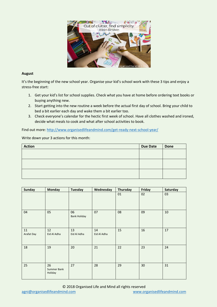

# **August**

It's the beginning of the new school year. Organise your kid's school work with these 3 tips and enjoy a stress-free start:

- 1. Get your kid's list for school supplies. Check what you have at home before ordering text books or buying anything new.
- 2. Start getting into the new routine a week before the actual first day of school. Bring your child to bed a bit earlier each day and wake them a bit earlier too.
- 3. Check everyone's calendar for the hectic first week of school. Have all clothes washed and ironed, decide what meals to cook and what after school activities to book.

Find out more:<http://www.organisedlifeandmind.com/get-ready-next-school-year/>

# Write down your 3 actions for this month:

| <b>Action</b> | <b>Due Date</b> | <b>Done</b> |
|---------------|-----------------|-------------|
|               |                 |             |
|               |                 |             |
|               |                 |             |
|               |                 |             |
|               |                 |             |
|               |                 |             |

| <b>Sunday</b>    | <b>Monday</b>                | <b>Tuesday</b>            | Wednesday         | Thursday | Friday | Saturday |
|------------------|------------------------------|---------------------------|-------------------|----------|--------|----------|
|                  |                              |                           |                   | 01       | 02     | 03       |
| 04               | 05                           | 06<br><b>Bank Holiday</b> | 07                | 08       | 09     | 10       |
| 11<br>Arafat Day | 12<br>Eid Al Adha            | 13<br>Eid Al Adha         | 14<br>Eid Al Adha | 15       | 16     | 17       |
| 18               | 19                           | 20                        | 21                | 22       | 23     | 24       |
| 25               | 26<br>Summer Bank<br>Holiday | 27                        | 28                | 29       | 30     | 31       |

#### © 2018 Organised Life and Mind all rights reserved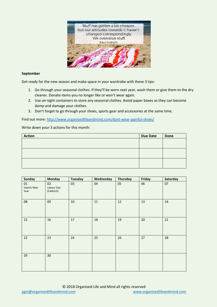

#### **September**

Get ready for the new season and make space in your wardrobe with these 3 tips:

- 1. Go through your seasonal clothes. If they'll be worn next year, wash them or give them to the dry cleaner. Donate items you no longer like or won't wear again.
- 2. Use air-tight containers to store any seasonal clothes. Avoid paper boxes as they can become damp and damage your clothes.
- 3. Don't forget to go through your shoes, sports gear and accessories at the same time.

Find out more:<http://www.organisedlifeandmind.com/dont-wear-painful-shoes/>

| <b>Action</b> | <b>Due Date</b> | <b>Done</b> |
|---------------|-----------------|-------------|
|               |                 |             |
|               |                 |             |
|               |                 |             |
|               |                 |             |
|               |                 |             |
|               |                 |             |

| <b>Sunday</b>                    | <b>Monday</b>                | Tuesday | Wednesday | Thursday | Friday | <b>Saturday</b> |
|----------------------------------|------------------------------|---------|-----------|----------|--------|-----------------|
| 01<br><b>Islamic New</b><br>Year | 02<br>Labour Day<br>(CAN/US) | 03      | 04        | 05       | 06     | 07              |
| 08                               | 09                           | 10      | $11\,$    | 12       | 13     | 14              |
| 15                               | 16                           | 17      | 18        | 19       | 20     | 21              |
| 22                               | 23                           | 24      | 25        | 26       | 27     | 28              |
| 29                               | 30                           |         |           |          |        |                 |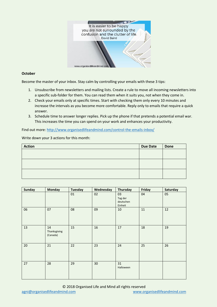

## **October**

Become the master of your inbox. Stay calm by controlling your emails with these 3 tips:

- 1. Unsubscribe from newsletters and mailing lists. Create a rule to move all incoming newsletters into a specific sub-folder for them. You can read them when it suits you, not when they come in.
- 2. Check your emails only at specific times. Start with checking them only every 10 minutes and increase the intervals as you become more comfortable. Reply only to emails that require a quick answer.
- 3. Schedule time to answer longer replies. Pick up the phone if that pretends a potential email war. This increases the time you can spend on your work and enhances your productivity.

Find out more: <http://www.organisedlifeandmind.com/control-the-emails-inbox/>

Write down your 3 actions for this month:

| <b>Action</b> | <b>Due Date</b> | <b>Done</b> |
|---------------|-----------------|-------------|
|               |                 |             |
|               |                 |             |
|               |                 |             |
|               |                 |             |
|               |                 |             |
|               |                 |             |

| <b>Sunday</b> | <b>Monday</b>                  | <b>Tuesday</b> | Wednesday | Thursday                              | Friday | Saturday |
|---------------|--------------------------------|----------------|-----------|---------------------------------------|--------|----------|
|               |                                | 01             | 02        | 03<br>Tag der<br>deutschen<br>Einheit | 04     | 05       |
| 06            | 07                             | 08             | 09        | 10                                    | $11\,$ | 12       |
| 13            | 14<br>Thanksgiving<br>(Canada) | 15             | 16        | 17                                    | 18     | 19       |
| 20            | 21                             | 22             | 23        | 24                                    | 25     | 26       |
| 27            | 28                             | 29             | 30        | 31<br>Halloween                       |        |          |

© 2018 Organised Life and Mind all rights reserved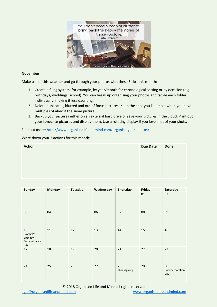

#### **November**

Make use of this weather and go through your photos with these 3 tips this month:

- 1. Create a filing system, for example, by year/month for chronological sorting or by occasion (e.g. birthdays, weddings, school). You can break up organising your photos and tackle each folder individually, making it less daunting.
- 2. Delete duplicates, blurred and out of focus pictures. Keep the shot you like most when you have multiples of almost the same picture.
- 3. Backup your pictures either on an external hard drive or save your pictures in the cloud. Print out your favourite pictures and display them. Use a rotating display if you love a lot of your shots.

Find out more:<http://www.organisedlifeandmind.com/organise-your-photos/>

| <b>Action</b> | <b>Due Date</b> | <b>Done</b> |
|---------------|-----------------|-------------|
|               |                 |             |
|               |                 |             |
|               |                 |             |
|               |                 |             |
|               |                 |             |
|               |                 |             |

| <b>Sunday</b>                                     | <b>Monday</b> | <b>Tuesday</b> | Wednesday | Thursday           | Friday | Saturday                   |
|---------------------------------------------------|---------------|----------------|-----------|--------------------|--------|----------------------------|
|                                                   |               |                |           |                    | 01     | 02                         |
| 03                                                | 04            | 05             | 06        | 07                 | 08     | 09                         |
| 10<br>Prophet's<br>Birthday<br>Remembrance<br>Day | $11\,$        | 12             | 13        | 14                 | 15     | 16                         |
| 17                                                | 18            | 19             | 20        | 21                 | 22     | 23                         |
| 24                                                | 25            | 26             | 27        | 28<br>Thanksgiving | 29     | 30<br>Commemoration<br>Day |